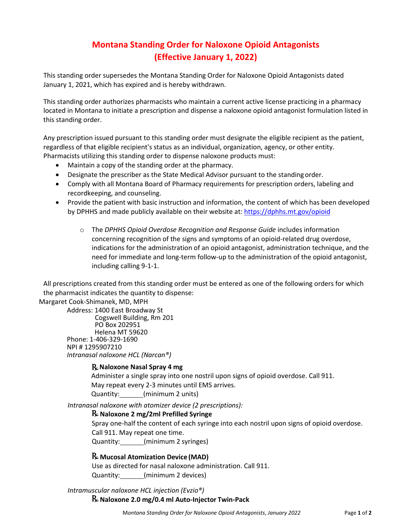# **Montana Standing Order for Naloxone Opioid Antagonists (Effective January 1, 2022)**

This standing order supersedes the Montana Standing Order for Naloxone Opioid Antagonists dated January 1, 2021, which has expired and is hereby withdrawn.

This standing order authorizes pharmacists who maintain a current active license practicing in a pharmacy located in Montana to initiate a prescription and dispense a naloxone opioid antagonist formulation listed in this standing order.

Any prescription issued pursuant to this standing order must designate the eligible recipient as the patient, regardless of that eligible recipient's status as an individual, organization, agency, or other entity. Pharmacists utilizing this standing order to dispense naloxone products must:

- Maintain a copy of the standing order at the pharmacy.
- Designate the prescriber as the State Medical Advisor pursuant to the standing order.
- Comply with all Montana Board of Pharmacy requirements for prescription orders, labeling and recordkeeping, and counseling.
- Provide the patient with basic instruction and information, the content of which has been developed by DPHHS and made publicly available on their website at: <https://dphhs.mt.gov/opioid>
	- o The *DPHHS Opioid Overdose Recognition and Response Guide* includes information concerning recognition of the signs and symptoms of an opioid-related drug overdose, indications for the administration of an opioid antagonist, administration technique, and the need for immediate and long-term follow-up to the administration of the opioid antagonist, including calling 9-1-1.

All prescriptions created from this standing order must be entered as one of the following orders for which the pharmacist indicates the quantity to dispense:

Margaret Cook-Shimanek, MD, MPH

Address: 1400 East Broadway St Cogswell Building, Rm 201 PO Box 202951 Helena MT 59620 Phone: 1-406-329-1690 NPI # 1295907210 *Intranasal naloxone HCL (Narcan®)*

### **Naloxone Nasal Spray 4 mg**

Administer a single spray into one nostril upon signs of opioid overdose. Call 911. May repeat every 2-3 minutes until EMS arrives. Quantity: (minimum 2 units)

*Intranasal naloxone with atomizer device (2 prescriptions):*

### **Naloxone 2 mg/2ml Prefilled Syringe**

Spray one-half the content of each syringe into each nostril upon signs of opioid overdose. Call 911. May repeat one time.

Quantity: \_\_\_\_\_\_(minimum 2 syringes)

## **Mucosal Atomization Device (MAD)**

Use as directed for nasal naloxone administration. Call 911. Quantity: (minimum 2 devices)

*Intramuscular naloxone HCL injection (Evzio®)*

**Naloxone 2.0 mg/0.4 ml Auto-Injector Twin-Pack**